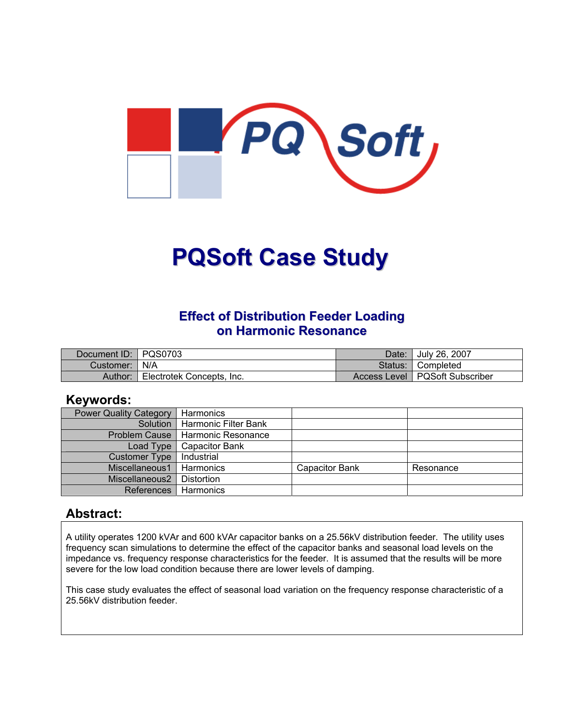

# **PQSoft Case Study**

### **Effect of Distribution Feeder Loading on Harmonic Resonance**

| Document ID: PQS0703 |                           | Date: I | Uuly 26, 2007                    |
|----------------------|---------------------------|---------|----------------------------------|
| Customer:   N/A      |                           |         | Status: Completed                |
| Author:              | Electrotek Concepts, Inc. |         | Access Level   PQSoft Subscriber |

#### **Keywords:**

| <b>Power Quality Category</b> | Harmonics                          |                       |           |
|-------------------------------|------------------------------------|-----------------------|-----------|
|                               | Solution   Harmonic Filter Bank    |                       |           |
|                               | Problem Cause   Harmonic Resonance |                       |           |
| Load Type                     | <b>Capacitor Bank</b>              |                       |           |
| <b>Customer Type</b>          | Industrial                         |                       |           |
| Miscellaneous1                | Harmonics                          | <b>Capacitor Bank</b> | Resonance |
| Miscellaneous2                | Distortion                         |                       |           |
| <b>References</b>             | Harmonics                          |                       |           |

#### **Abstract:**

A utility operates 1200 kVAr and 600 kVAr capacitor banks on a 25.56kV distribution feeder. The utility uses frequency scan simulations to determine the effect of the capacitor banks and seasonal load levels on the impedance vs. frequency response characteristics for the feeder. It is assumed that the results will be more severe for the low load condition because there are lower levels of damping.

This case study evaluates the effect of seasonal load variation on the frequency response characteristic of a 25.56kV distribution feeder.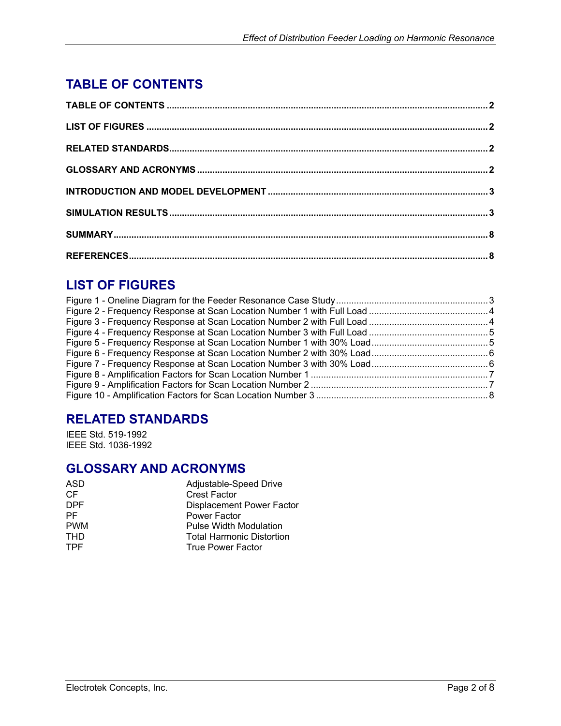# <span id="page-1-0"></span>**TABLE OF CONTENTS**

# **LIST OF FIGURES**

## **RELATED STANDARDS**

IEEE Std. 519-1992 IEEE Std. 1036-1992

## **GLOSSARY AND ACRONYMS**

| Adjustable-Speed Drive           |
|----------------------------------|
| <b>Crest Factor</b>              |
| <b>Displacement Power Factor</b> |
| Power Factor                     |
| Pulse Width Modulation           |
| <b>Total Harmonic Distortion</b> |
| <b>True Power Factor</b>         |
|                                  |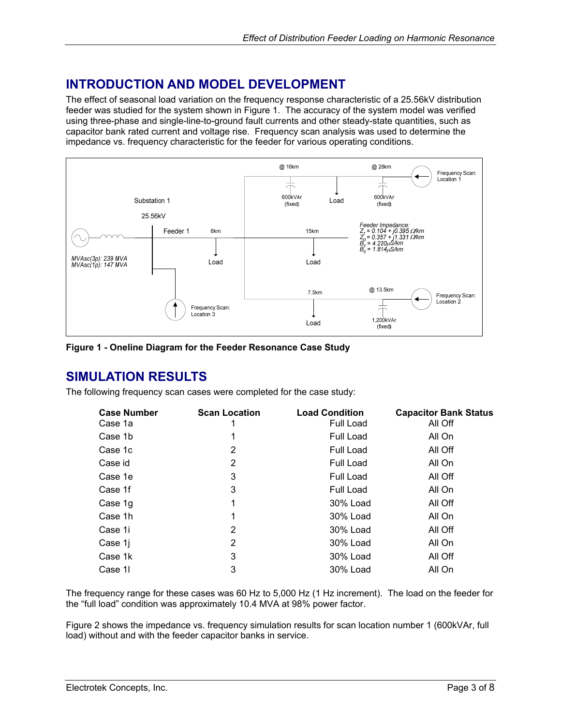## <span id="page-2-0"></span>**INTRODUCTION AND MODEL DEVELOPMENT**

The effect of seasonal load variation on the frequency response characteristic of a 25.56kV distribution feeder was studied for the system shown in [Figure 1.](#page-2-1) The accuracy of the system model was verified using three-phase and single-line-to-ground fault currents and other steady-state quantities, such as capacitor bank rated current and voltage rise. Frequency scan analysis was used to determine the impedance vs. frequency characteristic for the feeder for various operating conditions.

<span id="page-2-1"></span>

**Figure 1 - Oneline Diagram for the Feeder Resonance Case Study**

#### **SIMULATION RESULTS**

The following frequency scan cases were completed for the case study:

| <b>Scan Location</b> | <b>Load Condition</b><br><b>Full Load</b> | <b>Capacitor Bank Status</b><br>All Off |
|----------------------|-------------------------------------------|-----------------------------------------|
|                      | Full Load                                 | All On                                  |
| 2                    | Full Load                                 | All Off                                 |
| 2                    | Full Load                                 | All On                                  |
| 3                    | <b>Full Load</b>                          | All Off                                 |
| 3                    | Full Load                                 | All On                                  |
| 1                    | 30% Load                                  | All Off                                 |
| 1                    | 30% Load                                  | All On                                  |
| 2                    | 30% Load                                  | All Off                                 |
| 2                    | 30% Load                                  | All On                                  |
| 3                    | 30% Load                                  | All Off                                 |
| 3                    | 30% Load                                  | All On                                  |
|                      |                                           |                                         |

The frequency range for these cases was 60 Hz to 5,000 Hz (1 Hz increment). The load on the feeder for the "full load" condition was approximately 10.4 MVA at 98% power factor.

[Figure 2](#page-3-1) shows the impedance vs. frequency simulation results for scan location number 1 (600kVAr, full load) without and with the feeder capacitor banks in service.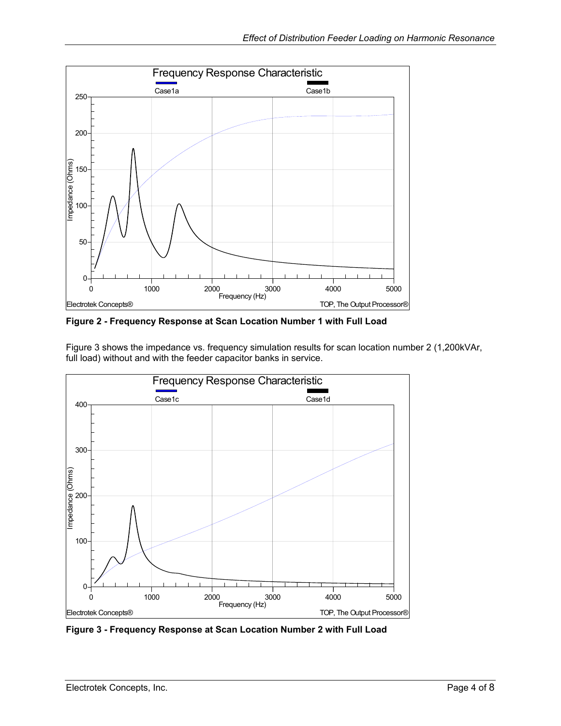<span id="page-3-1"></span><span id="page-3-0"></span>

**Figure 2 - Frequency Response at Scan Location Number 1 with Full Load** 

[Figure 3](#page-3-2) shows the impedance vs. frequency simulation results for scan location number 2 (1,200kVAr, full load) without and with the feeder capacitor banks in service.

<span id="page-3-2"></span>

**Figure 3 - Frequency Response at Scan Location Number 2 with Full Load**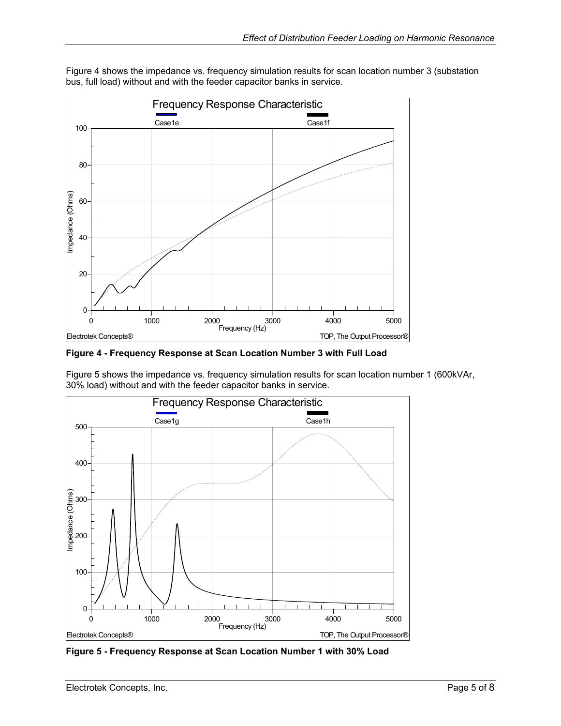<span id="page-4-1"></span>

<span id="page-4-0"></span>[Figure 4](#page-4-1) shows the impedance vs. frequency simulation results for scan location number 3 (substation bus, full load) without and with the feeder capacitor banks in service.

**Figure 4 - Frequency Response at Scan Location Number 3 with Full Load** 

[Figure 5](#page-4-2) shows the impedance vs. frequency simulation results for scan location number 1 (600kVAr, 30% load) without and with the feeder capacitor banks in service.

<span id="page-4-2"></span>

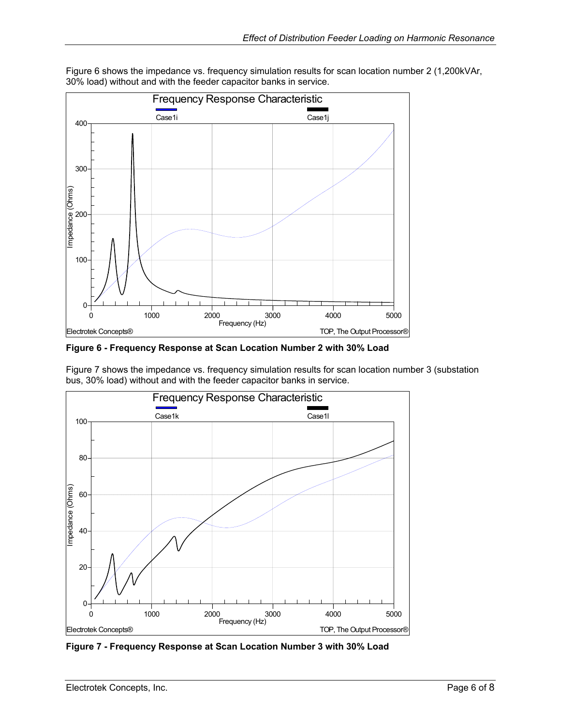<span id="page-5-1"></span>

<span id="page-5-0"></span>[Figure 6](#page-5-1) shows the impedance vs. frequency simulation results for scan location number 2 (1,200kVAr, 30% load) without and with the feeder capacitor banks in service.

**Figure 6 - Frequency Response at Scan Location Number 2 with 30% Load** 

[Figure 7](#page-5-2) shows the impedance vs. frequency simulation results for scan location number 3 (substation bus, 30% load) without and with the feeder capacitor banks in service.

<span id="page-5-2"></span>

**Figure 7 - Frequency Response at Scan Location Number 3 with 30% Load**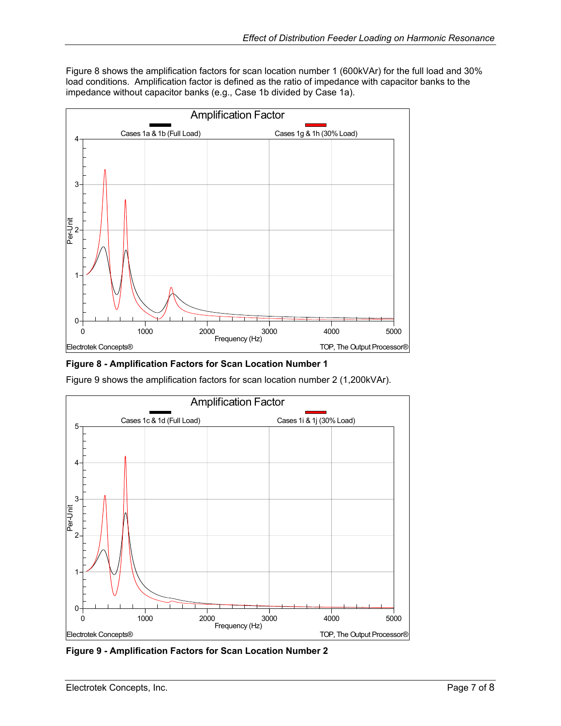<span id="page-6-0"></span>[Figure 8](#page-6-1) shows the amplification factors for scan location number 1 (600kVAr) for the full load and 30% load conditions. Amplification factor is defined as the ratio of impedance with capacitor banks to the impedance without capacitor banks (e.g., Case 1b divided by Case 1a).

<span id="page-6-1"></span>

**Figure 8 - Amplification Factors for Scan Location Number 1**

[Figure 9](#page-6-2) shows the amplification factors for scan location number 2 (1,200kVAr).

<span id="page-6-2"></span>

**Figure 9 - Amplification Factors for Scan Location Number 2**